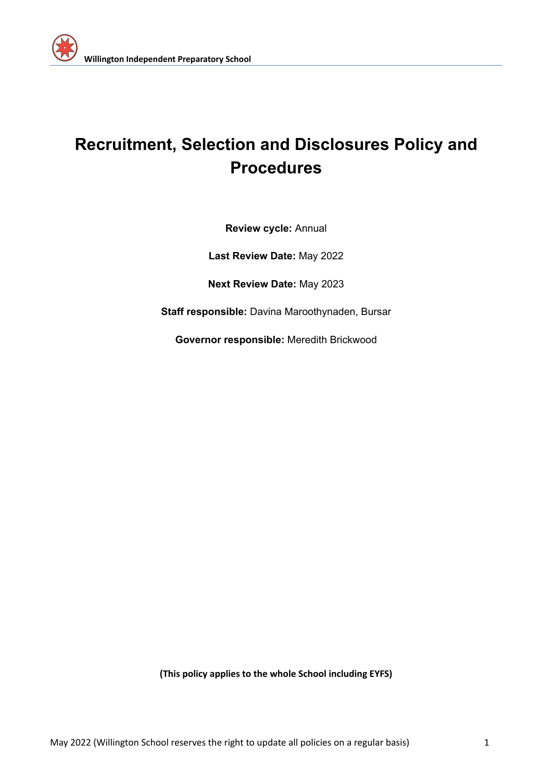

# **Recruitment, Selection and Disclosures Policy and Procedures**

**Review cycle:** Annual

**Last Review Date:** May 2022

**Next Review Date:** May 2023

**Staff responsible:** Davina Maroothynaden, Bursar

**Governor responsible:** Meredith Brickwood

**(This policy applies to the whole School including EYFS)**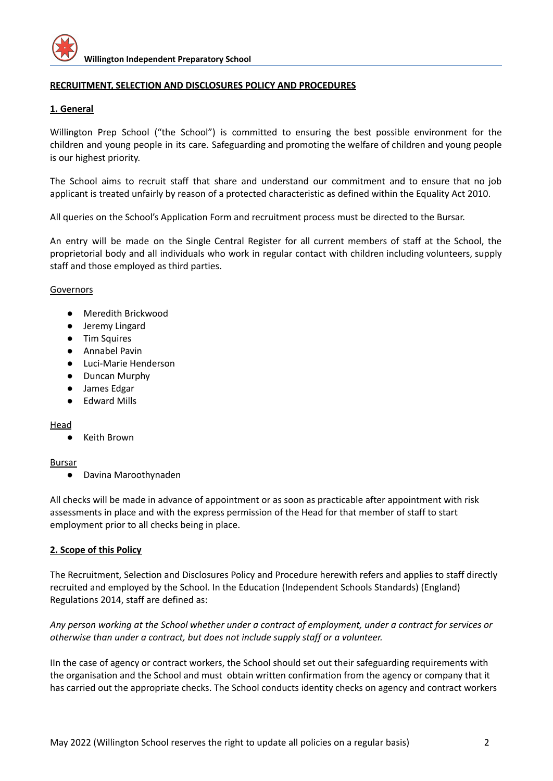

## **RECRUITMENT, SELECTION AND DISCLOSURES POLICY AND PROCEDURES**

#### **1. General**

Willington Prep School ("the School") is committed to ensuring the best possible environment for the children and young people in its care. Safeguarding and promoting the welfare of children and young people is our highest priority.

The School aims to recruit staff that share and understand our commitment and to ensure that no job applicant is treated unfairly by reason of a protected characteristic as defined within the Equality Act 2010.

All queries on the School's Application Form and recruitment process must be directed to the Bursar.

An entry will be made on the Single Central Register for all current members of staff at the School, the proprietorial body and all individuals who work in regular contact with children including volunteers, supply staff and those employed as third parties.

#### Governors

- Meredith Brickwood
- Jeremy Lingard
- Tim Squires
- Annabel Pavin
- Luci-Marie Henderson
- Duncan Murphy
- James Edgar
- Edward Mills

#### Head

**Keith Brown** 

#### Bursar

● Davina Maroothynaden

All checks will be made in advance of appointment or as soon as practicable after appointment with risk assessments in place and with the express permission of the Head for that member of staff to start employment prior to all checks being in place.

#### **2. Scope of this Policy**

The Recruitment, Selection and Disclosures Policy and Procedure herewith refers and applies to staff directly recruited and employed by the School. In the Education (Independent Schools Standards) (England) Regulations 2014, staff are defined as:

Any person working at the School whether under a contract of employment, under a contract for services or *otherwise than under a contract, but does not include supply staff or a volunteer.*

IIn the case of agency or contract workers, the School should set out their safeguarding requirements with the organisation and the School and must obtain written confirmation from the agency or company that it has carried out the appropriate checks. The School conducts identity checks on agency and contract workers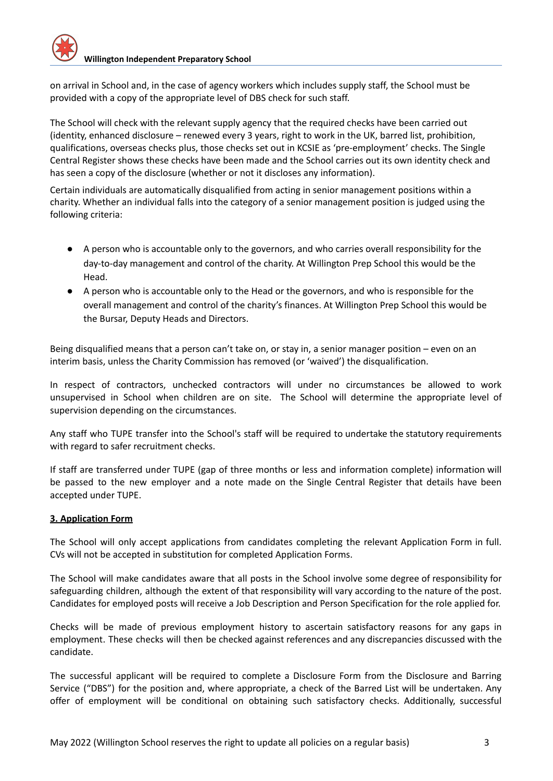on arrival in School and, in the case of agency workers which includes supply staff, the School must be provided with a copy of the appropriate level of DBS check for such staff.

The School will check with the relevant supply agency that the required checks have been carried out (identity, enhanced disclosure – renewed every 3 years, right to work in the UK, barred list, prohibition, qualifications, overseas checks plus, those checks set out in KCSIE as 'pre-employment' checks. The Single Central Register shows these checks have been made and the School carries out its own identity check and has seen a copy of the disclosure (whether or not it discloses any information).

Certain individuals are automatically disqualified from acting in senior management positions within a charity. Whether an individual falls into the category of a senior management position is judged using the following criteria:

- A person who is accountable only to the governors, and who carries overall responsibility for the day-to-day management and control of the charity. At Willington Prep School this would be the Head.
- A person who is accountable only to the Head or the governors, and who is responsible for the overall management and control of the charity's finances. At Willington Prep School this would be the Bursar, Deputy Heads and Directors.

Being disqualified means that a person can't take on, or stay in, a senior manager position – even on an interim basis, unless the Charity Commission has removed (or 'waived') the disqualification.

In respect of contractors, unchecked contractors will under no circumstances be allowed to work unsupervised in School when children are on site. The School will determine the appropriate level of supervision depending on the circumstances.

Any staff who TUPE transfer into the School's staff will be required to undertake the statutory requirements with regard to safer recruitment checks.

If staff are transferred under TUPE (gap of three months or less and information complete) information will be passed to the new employer and a note made on the Single Central Register that details have been accepted under TUPE.

# **3. Application Form**

The School will only accept applications from candidates completing the relevant Application Form in full. CVs will not be accepted in substitution for completed Application Forms.

The School will make candidates aware that all posts in the School involve some degree of responsibility for safeguarding children, although the extent of that responsibility will vary according to the nature of the post. Candidates for employed posts will receive a Job Description and Person Specification for the role applied for.

Checks will be made of previous employment history to ascertain satisfactory reasons for any gaps in employment. These checks will then be checked against references and any discrepancies discussed with the candidate.

The successful applicant will be required to complete a Disclosure Form from the Disclosure and Barring Service ("DBS") for the position and, where appropriate, a check of the Barred List will be undertaken. Any offer of employment will be conditional on obtaining such satisfactory checks. Additionally, successful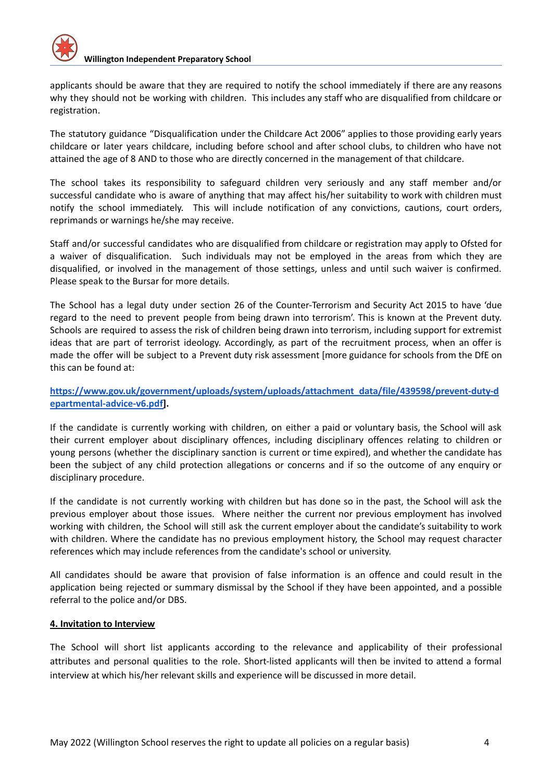applicants should be aware that they are required to notify the school immediately if there are any reasons why they should not be working with children. This includes any staff who are disqualified from childcare or registration.

The statutory guidance "Disqualification under the Childcare Act 2006" applies to those providing early years childcare or later years childcare, including before school and after school clubs, to children who have not attained the age of 8 AND to those who are directly concerned in the management of that childcare.

The school takes its responsibility to safeguard children very seriously and any staff member and/or successful candidate who is aware of anything that may affect his/her suitability to work with children must notify the school immediately. This will include notification of any convictions, cautions, court orders, reprimands or warnings he/she may receive.

Staff and/or successful candidates who are disqualified from childcare or registration may apply to Ofsted for a waiver of disqualification. Such individuals may not be employed in the areas from which they are disqualified, or involved in the management of those settings, unless and until such waiver is confirmed. Please speak to the Bursar for more details.

The School has a legal duty under section 26 of the Counter-Terrorism and Security Act 2015 to have 'due regard to the need to prevent people from being drawn into terrorism'. This is known at the Prevent duty. Schools are required to assess the risk of children being drawn into terrorism, including support for extremist ideas that are part of terrorist ideology. Accordingly, as part of the recruitment process, when an offer is made the offer will be subject to a Prevent duty risk assessment [more guidance for schools from the DfE on this can be found at:

# **[https://www.gov.uk/government/uploads/system/uploads/attachment\\_data/file/439598/prevent-duty-d](https://www.gov.uk/government/uploads/system/uploads/attachment_data/file/439598/prevent-duty-departmental-advice-v6.pdf) [epartmental-advice-v6.pdf\]](https://www.gov.uk/government/uploads/system/uploads/attachment_data/file/439598/prevent-duty-departmental-advice-v6.pdf).**

If the candidate is currently working with children, on either a paid or voluntary basis, the School will ask their current employer about disciplinary offences, including disciplinary offences relating to children or young persons (whether the disciplinary sanction is current or time expired), and whether the candidate has been the subject of any child protection allegations or concerns and if so the outcome of any enquiry or disciplinary procedure.

If the candidate is not currently working with children but has done so in the past, the School will ask the previous employer about those issues. Where neither the current nor previous employment has involved working with children, the School will still ask the current employer about the candidate's suitability to work with children. Where the candidate has no previous employment history, the School may request character references which may include references from the candidate's school or university.

All candidates should be aware that provision of false information is an offence and could result in the application being rejected or summary dismissal by the School if they have been appointed, and a possible referral to the police and/or DBS.

# **4. Invitation to Interview**

The School will short list applicants according to the relevance and applicability of their professional attributes and personal qualities to the role. Short-listed applicants will then be invited to attend a formal interview at which his/her relevant skills and experience will be discussed in more detail.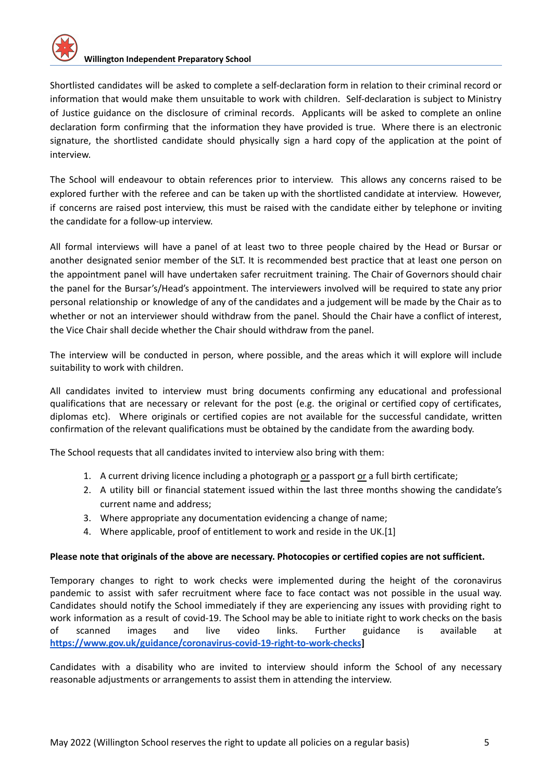Shortlisted candidates will be asked to complete a self-declaration form in relation to their criminal record or information that would make them unsuitable to work with children. Self-declaration is subject to Ministry of Justice guidance on the disclosure of criminal records. Applicants will be asked to complete an online declaration form confirming that the information they have provided is true. Where there is an electronic signature, the shortlisted candidate should physically sign a hard copy of the application at the point of interview.

The School will endeavour to obtain references prior to interview. This allows any concerns raised to be explored further with the referee and can be taken up with the shortlisted candidate at interview. However, if concerns are raised post interview, this must be raised with the candidate either by telephone or inviting the candidate for a follow-up interview.

All formal interviews will have a panel of at least two to three people chaired by the Head or Bursar or another designated senior member of the SLT. It is recommended best practice that at least one person on the appointment panel will have undertaken safer recruitment training. The Chair of Governors should chair the panel for the Bursar's/Head's appointment. The interviewers involved will be required to state any prior personal relationship or knowledge of any of the candidates and a judgement will be made by the Chair as to whether or not an interviewer should withdraw from the panel. Should the Chair have a conflict of interest, the Vice Chair shall decide whether the Chair should withdraw from the panel.

The interview will be conducted in person, where possible, and the areas which it will explore will include suitability to work with children.

All candidates invited to interview must bring documents confirming any educational and professional qualifications that are necessary or relevant for the post (e.g. the original or certified copy of certificates, diplomas etc). Where originals or certified copies are not available for the successful candidate, written confirmation of the relevant qualifications must be obtained by the candidate from the awarding body.

The School requests that all candidates invited to interview also bring with them:

- 1. A current driving licence including a photograph or a passport or a full birth certificate;
- 2. A utility bill or financial statement issued within the last three months showing the candidate's current name and address;
- 3. Where appropriate any documentation evidencing a change of name;
- 4. Where applicable, proof of entitlement to work and reside in the UK.[1]

#### **Please note that originals of the above are necessary. Photocopies or certified copies are not sufficient.**

Temporary changes to right to work checks were implemented during the height of the coronavirus pandemic to assist with safer recruitment where face to face contact was not possible in the usual way. Candidates should notify the School immediately if they are experiencing any issues with providing right to work information as a result of covid-19. The School may be able to initiate right to work checks on the basis of scanned images and live video links. Further guidance is available a[t](https://www.gov.uk/guidance/coronavirus-covid-19-right-to-work-checks) **<https://www.gov.uk/guidance/coronavirus-covid-19-right-to-work-checks>]**

Candidates with a disability who are invited to interview should inform the School of any necessary reasonable adjustments or arrangements to assist them in attending the interview.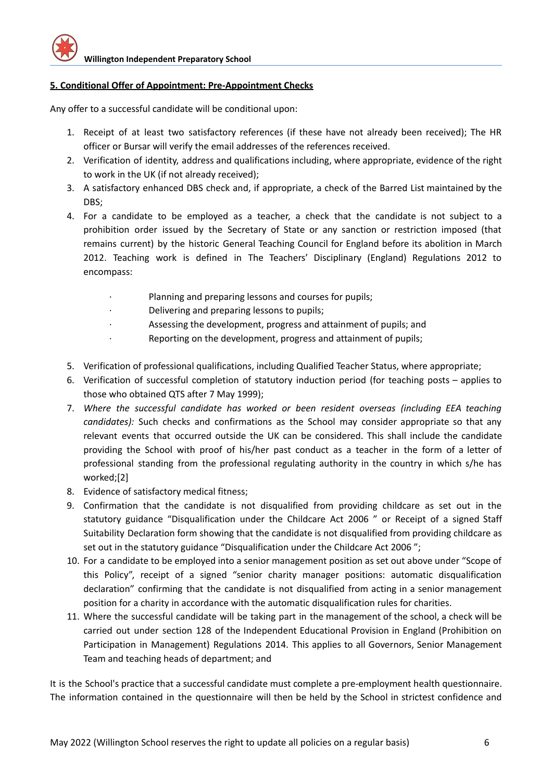## **5. Conditional Offer of Appointment: Pre-Appointment Checks**

Any offer to a successful candidate will be conditional upon:

- 1. Receipt of at least two satisfactory references (if these have not already been received); The HR officer or Bursar will verify the email addresses of the references received.
- 2. Verification of identity, address and qualifications including, where appropriate, evidence of the right to work in the UK (if not already received);
- 3. A satisfactory enhanced DBS check and, if appropriate, a check of the Barred List maintained by the DBS:
- 4. For a candidate to be employed as a teacher, a check that the candidate is not subject to a prohibition order issued by the Secretary of State or any sanction or restriction imposed (that remains current) by the historic General Teaching Council for England before its abolition in March 2012. Teaching work is defined in The Teachers' Disciplinary (England) Regulations 2012 to encompass:
	- Planning and preparing lessons and courses for pupils;
	- · Delivering and preparing lessons to pupils;
	- Assessing the development, progress and attainment of pupils; and
	- · Reporting on the development, progress and attainment of pupils;
- 5. Verification of professional qualifications, including Qualified Teacher Status, where appropriate;
- 6. Verification of successful completion of statutory induction period (for teaching posts applies to those who obtained QTS after 7 May 1999);
- 7. *Where the successful candidate has worked or been resident overseas (including EEA teaching candidates):* Such checks and confirmations as the School may consider appropriate so that any relevant events that occurred outside the UK can be considered. This shall include the candidate providing the School with proof of his/her past conduct as a teacher in the form of a letter of professional standing from the professional regulating authority in the country in which s/he has worked;[2]
- 8. Evidence of satisfactory medical fitness;
- 9. Confirmation that the candidate is not disqualified from providing childcare as set out in the statutory guidance "Disqualification under the Childcare Act 2006 " or Receipt of a signed Staff Suitability Declaration form showing that the candidate is not disqualified from providing childcare as set out in the statutory guidance "Disqualification under the Childcare Act 2006 ";
- 10. For a candidate to be employed into a senior management position as set out above under "Scope of this Policy", receipt of a signed "senior charity manager positions: automatic disqualification declaration" confirming that the candidate is not disqualified from acting in a senior management position for a charity in accordance with the automatic disqualification rules for charities.
- 11. Where the successful candidate will be taking part in the management of the school, a check will be carried out under section 128 of the Independent Educational Provision in England (Prohibition on Participation in Management) Regulations 2014. This applies to all Governors, Senior Management Team and teaching heads of department; and

It is the School's practice that a successful candidate must complete a pre-employment health questionnaire. The information contained in the questionnaire will then be held by the School in strictest confidence and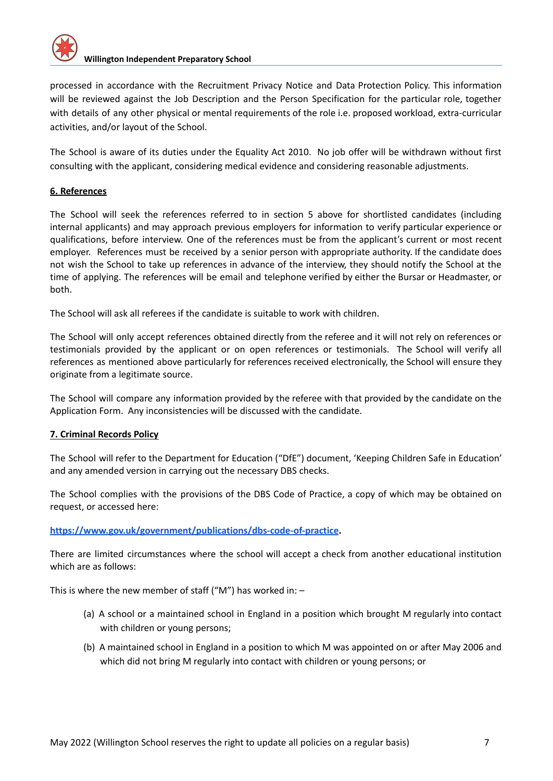

processed in accordance with the Recruitment Privacy Notice and Data Protection Policy. This information will be reviewed against the Job Description and the Person Specification for the particular role, together with details of any other physical or mental requirements of the role i.e. proposed workload, extra-curricular activities, and/or layout of the School.

The School is aware of its duties under the Equality Act 2010. No job offer will be withdrawn without first consulting with the applicant, considering medical evidence and considering reasonable adjustments.

## **6. References**

The School will seek the references referred to in section 5 above for shortlisted candidates (including internal applicants) and may approach previous employers for information to verify particular experience or qualifications, before interview. One of the references must be from the applicant's current or most recent employer. References must be received by a senior person with appropriate authority. If the candidate does not wish the School to take up references in advance of the interview, they should notify the School at the time of applying. The references will be email and telephone verified by either the Bursar or Headmaster, or both.

The School will ask all referees if the candidate is suitable to work with children.

The School will only accept references obtained directly from the referee and it will not rely on references or testimonials provided by the applicant or on open references or testimonials. The School will verify all references as mentioned above particularly for references received electronically, the School will ensure they originate from a legitimate source.

The School will compare any information provided by the referee with that provided by the candidate on the Application Form. Any inconsistencies will be discussed with the candidate.

#### **7. Criminal Records Policy**

The School will refer to the Department for Education ("DfE") document, 'Keeping Children Safe in Education' and any amended version in carrying out the necessary DBS checks.

The School complies with the provisions of the DBS Code of Practice, a copy of which may be obtained on request, or accessed here:

**<https://www.gov.uk/government/publications/dbs-code-of-practice>.**

There are limited circumstances where the school will accept a check from another educational institution which are as follows:

This is where the new member of staff ("M") has worked in:  $-$ 

- (a) A school or a maintained school in England in a position which brought M regularly into contact with children or young persons;
- (b) A maintained school in England in a position to which M was appointed on or after May 2006 and which did not bring M regularly into contact with children or young persons; or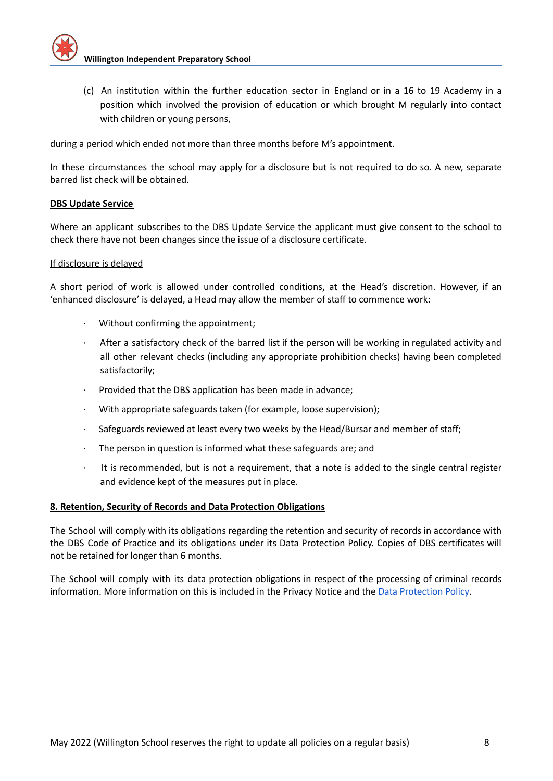

(c) An institution within the further education sector in England or in a 16 to 19 Academy in a position which involved the provision of education or which brought M regularly into contact with children or young persons,

during a period which ended not more than three months before M's appointment.

In these circumstances the school may apply for a disclosure but is not required to do so. A new, separate barred list check will be obtained.

#### **DBS Update Service**

Where an applicant subscribes to the DBS Update Service the applicant must give consent to the school to check there have not been changes since the issue of a disclosure certificate.

#### If disclosure is delayed

A short period of work is allowed under controlled conditions, at the Head's discretion. However, if an 'enhanced disclosure' is delayed, a Head may allow the member of staff to commence work:

- Without confirming the appointment;
- After a satisfactory check of the barred list if the person will be working in regulated activity and all other relevant checks (including any appropriate prohibition checks) having been completed satisfactorily;
- Provided that the DBS application has been made in advance;
- With appropriate safeguards taken (for example, loose supervision);
- · Safeguards reviewed at least every two weeks by the Head/Bursar and member of staff;
- · The person in question is informed what these safeguards are; and
- It is recommended, but is not a requirement, that a note is added to the single central register and evidence kept of the measures put in place.

#### **8. Retention, Security of Records and Data Protection Obligations**

The School will comply with its obligations regarding the retention and security of records in accordance with the DBS Code of Practice and its obligations under its Data Protection Policy. Copies of DBS certificates will not be retained for longer than 6 months.

The School will comply with its data protection obligations in respect of the processing of criminal records information. More information on this is included in the Privacy Notice and the Data [Protection](https://docs.google.com/document/d/1D3R0eeQQhskGx43hEkOB-K4uz0IW_m8q/edit) Policy.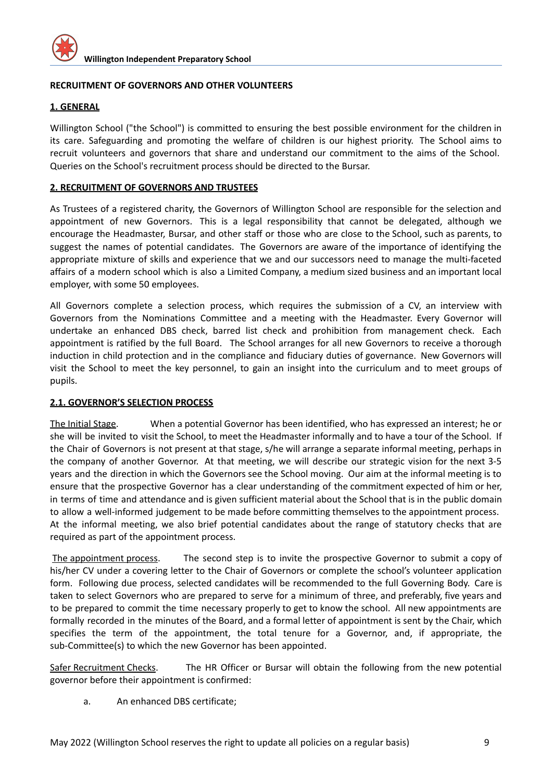

## **RECRUITMENT OF GOVERNORS AND OTHER VOLUNTEERS**

## **1. GENERAL**

Willington School ("the School") is committed to ensuring the best possible environment for the children in its care. Safeguarding and promoting the welfare of children is our highest priority. The School aims to recruit volunteers and governors that share and understand our commitment to the aims of the School. Queries on the School's recruitment process should be directed to the Bursar.

## **2. RECRUITMENT OF GOVERNORS AND TRUSTEES**

As Trustees of a registered charity, the Governors of Willington School are responsible for the selection and appointment of new Governors. This is a legal responsibility that cannot be delegated, although we encourage the Headmaster, Bursar, and other staff or those who are close to the School, such as parents, to suggest the names of potential candidates. The Governors are aware of the importance of identifying the appropriate mixture of skills and experience that we and our successors need to manage the multi-faceted affairs of a modern school which is also a Limited Company, a medium sized business and an important local employer, with some 50 employees.

All Governors complete a selection process, which requires the submission of a CV, an interview with Governors from the Nominations Committee and a meeting with the Headmaster. Every Governor will undertake an enhanced DBS check, barred list check and prohibition from management check. Each appointment is ratified by the full Board. The School arranges for all new Governors to receive a thorough induction in child protection and in the compliance and fiduciary duties of governance. New Governors will visit the School to meet the key personnel, to gain an insight into the curriculum and to meet groups of pupils.

#### **2.1. GOVERNOR'S SELECTION PROCESS**

The Initial Stage. When a potential Governor has been identified, who has expressed an interest; he or she will be invited to visit the School, to meet the Headmaster informally and to have a tour of the School. If the Chair of Governors is not present at that stage, s/he will arrange a separate informal meeting, perhaps in the company of another Governor. At that meeting, we will describe our strategic vision for the next 3-5 years and the direction in which the Governors see the School moving. Our aim at the informal meeting is to ensure that the prospective Governor has a clear understanding of the commitment expected of him or her, in terms of time and attendance and is given sufficient material about the School that is in the public domain to allow a well-informed judgement to be made before committing themselves to the appointment process. At the informal meeting, we also brief potential candidates about the range of statutory checks that are required as part of the appointment process.

The appointment process. The second step is to invite the prospective Governor to submit a copy of his/her CV under a covering letter to the Chair of Governors or complete the school's volunteer application form. Following due process, selected candidates will be recommended to the full Governing Body. Care is taken to select Governors who are prepared to serve for a minimum of three, and preferably, five years and to be prepared to commit the time necessary properly to get to know the school. All new appointments are formally recorded in the minutes of the Board, and a formal letter of appointment is sent by the Chair, which specifies the term of the appointment, the total tenure for a Governor, and, if appropriate, the sub-Committee(s) to which the new Governor has been appointed.

Safer Recruitment Checks. The HR Officer or Bursar will obtain the following from the new potential governor before their appointment is confirmed:

a. An enhanced DBS certificate;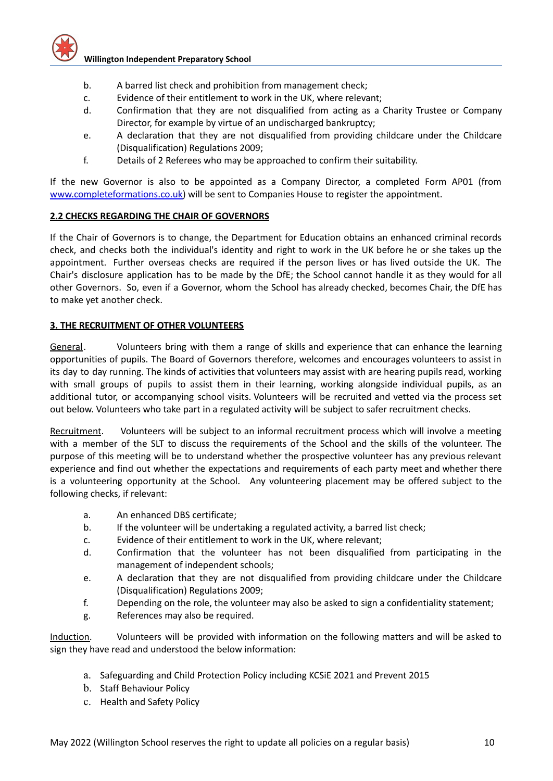- b. A barred list check and prohibition from management check;
- c. Evidence of their entitlement to work in the UK, where relevant;
- d. Confirmation that they are not disqualified from acting as a Charity Trustee or Company Director, for example by virtue of an undischarged bankruptcy;
- e. A declaration that they are not disqualified from providing childcare under the Childcare (Disqualification) Regulations 2009;
- f. Details of 2 Referees who may be approached to confirm their suitability.

If the new Governor is also to be appointed as a Company Director, a completed Form AP01 (from [www.completeformations.co.uk\)](http://www.completeformations.co.uk/) will be sent to Companies House to register the appointment.

## **2.2 CHECKS REGARDING THE CHAIR OF GOVERNORS**

If the Chair of Governors is to change, the Department for Education obtains an enhanced criminal records check, and checks both the individual's identity and right to work in the UK before he or she takes up the appointment. Further overseas checks are required if the person lives or has lived outside the UK. The Chair's disclosure application has to be made by the DfE; the School cannot handle it as they would for all other Governors. So, even if a Governor, whom the School has already checked, becomes Chair, the DfE has to make yet another check.

## **3. THE RECRUITMENT OF OTHER VOLUNTEERS**

General. Volunteers bring with them a range of skills and experience that can enhance the learning opportunities of pupils. The Board of Governors therefore, welcomes and encourages volunteers to assist in its day to day running. The kinds of activities that volunteers may assist with are hearing pupils read, working with small groups of pupils to assist them in their learning, working alongside individual pupils, as an additional tutor, or accompanying school visits. Volunteers will be recruited and vetted via the process set out below. Volunteers who take part in a regulated activity will be subject to safer recruitment checks.

Recruitment. Volunteers will be subject to an informal recruitment process which will involve a meeting with a member of the SLT to discuss the requirements of the School and the skills of the volunteer. The purpose of this meeting will be to understand whether the prospective volunteer has any previous relevant experience and find out whether the expectations and requirements of each party meet and whether there is a volunteering opportunity at the School. Any volunteering placement may be offered subject to the following checks, if relevant:

- a. An enhanced DBS certificate;
- b. If the volunteer will be undertaking a regulated activity, a barred list check;
- c. Evidence of their entitlement to work in the UK, where relevant;
- d. Confirmation that the volunteer has not been disqualified from participating in the management of independent schools;
- e. A declaration that they are not disqualified from providing childcare under the Childcare (Disqualification) Regulations 2009;
- f. Depending on the role, the volunteer may also be asked to sign a confidentiality statement;
- g. References may also be required.

Induction. Volunteers will be provided with information on the following matters and will be asked to sign they have read and understood the below information:

- a. Safeguarding and Child Protection Policy including KCSiE 2021 and Prevent 2015
- b. Staff Behaviour Policy
- c. Health and Safety Policy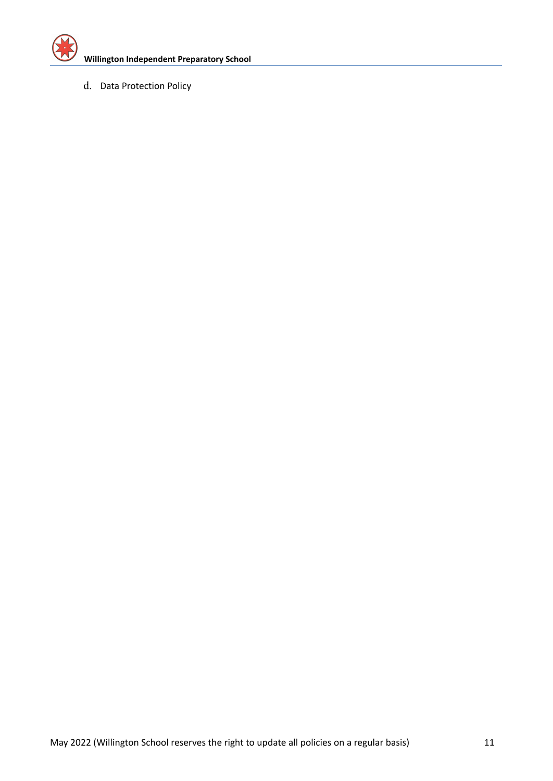

d. Data Protection Policy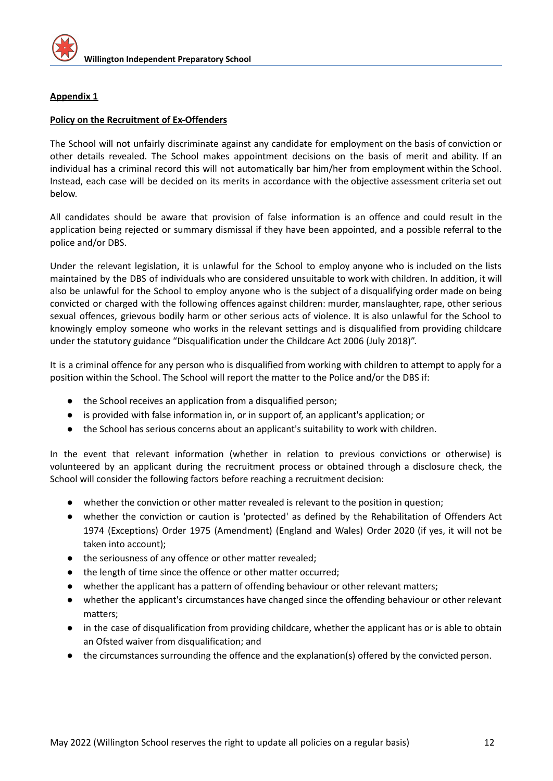

## **Appendix 1**

## **Policy on the Recruitment of Ex-Offenders**

The School will not unfairly discriminate against any candidate for employment on the basis of conviction or other details revealed. The School makes appointment decisions on the basis of merit and ability. If an individual has a criminal record this will not automatically bar him/her from employment within the School. Instead, each case will be decided on its merits in accordance with the objective assessment criteria set out below.

All candidates should be aware that provision of false information is an offence and could result in the application being rejected or summary dismissal if they have been appointed, and a possible referral to the police and/or DBS.

Under the relevant legislation, it is unlawful for the School to employ anyone who is included on the lists maintained by the DBS of individuals who are considered unsuitable to work with children. In addition, it will also be unlawful for the School to employ anyone who is the subject of a disqualifying order made on being convicted or charged with the following offences against children: murder, manslaughter, rape, other serious sexual offences, grievous bodily harm or other serious acts of violence. It is also unlawful for the School to knowingly employ someone who works in the relevant settings and is disqualified from providing childcare under the statutory guidance "Disqualification under the Childcare Act 2006 (July 2018)".

It is a criminal offence for any person who is disqualified from working with children to attempt to apply for a position within the School. The School will report the matter to the Police and/or the DBS if:

- the School receives an application from a disqualified person;
- is provided with false information in, or in support of, an applicant's application; or
- the School has serious concerns about an applicant's suitability to work with children.

In the event that relevant information (whether in relation to previous convictions or otherwise) is volunteered by an applicant during the recruitment process or obtained through a disclosure check, the School will consider the following factors before reaching a recruitment decision:

- whether the conviction or other matter revealed is relevant to the position in question;
- whether the conviction or caution is 'protected' as defined by the Rehabilitation of Offenders Act 1974 (Exceptions) Order 1975 (Amendment) (England and Wales) Order 2020 (if yes, it will not be taken into account);
- the seriousness of any offence or other matter revealed;
- the length of time since the offence or other matter occurred;
- whether the applicant has a pattern of offending behaviour or other relevant matters;
- whether the applicant's circumstances have changed since the offending behaviour or other relevant matters;
- in the case of disqualification from providing childcare, whether the applicant has or is able to obtain an Ofsted waiver from disqualification; and
- the circumstances surrounding the offence and the explanation(s) offered by the convicted person.